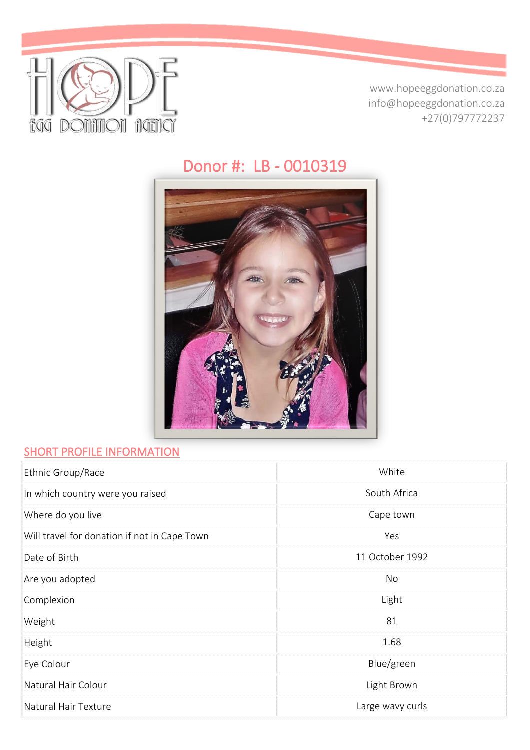

www.hopeeggdonation.co.za info@hopeeggdonation.co.za +27(0)797772237

# Donor #: LB - 0010319



#### **SHORT PROFILE INFORMATION**

| Ethnic Group/Race                            | White            |
|----------------------------------------------|------------------|
| In which country were you raised             | South Africa     |
| Where do you live                            | Cape town        |
| Will travel for donation if not in Cape Town | Yes              |
| Date of Birth                                | 11 October 1992  |
| Are you adopted                              | No               |
| Complexion                                   | Light            |
| Weight                                       | 81               |
| Height                                       | 1.68             |
| Eye Colour                                   | Blue/green       |
| Natural Hair Colour                          | Light Brown      |
| Natural Hair Texture                         | Large wavy curls |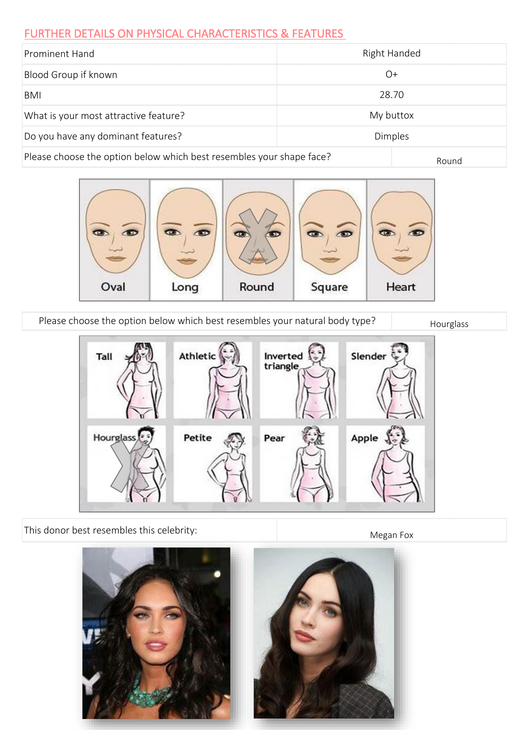#### FURTHER DETAILS ON PHYSICAL CHARACTERISTICS & FEATURES

| Prominent Hand                                                       | Right Handed   |  |
|----------------------------------------------------------------------|----------------|--|
| Blood Group if known                                                 |                |  |
| BMI                                                                  | 28.70          |  |
| What is your most attractive feature?                                | My buttox      |  |
| Do you have any dominant features?                                   | <b>Dimples</b> |  |
| Please choose the option below which best resembles your shape face? | Round          |  |



Please choose the option below which best resembles your natural body type? Hourglass



This donor best resembles this celebrity:

Megan Fox

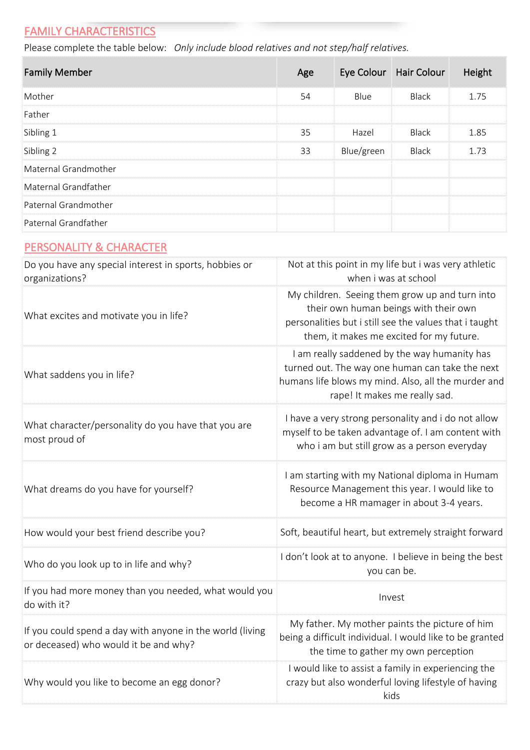# **FAMILY CHARACTERISTICS**

Please complete the table below: *Only include blood relatives and not step/half relatives.*

| <b>Family Member</b> | Age |            | Eye Colour Hair Colour | Height |
|----------------------|-----|------------|------------------------|--------|
| Mother               | 54  | Blue       | Black                  | 1.75   |
| Father               |     |            |                        |        |
| Sibling 1            | 35  | Hazel      | Black                  | 1.85   |
| Sibling 2            | 33  | Blue/green | Black                  | 1.73   |
| Maternal Grandmother |     |            |                        |        |
| Maternal Grandfather |     |            |                        |        |
| Paternal Grandmother |     |            |                        |        |
| Paternal Grandfather |     |            |                        |        |

#### PERSONALITY & CHARACTER

| Do you have any special interest in sports, hobbies or<br>organizations?                           | Not at this point in my life but i was very athletic<br>when i was at school                                                                                                                  |
|----------------------------------------------------------------------------------------------------|-----------------------------------------------------------------------------------------------------------------------------------------------------------------------------------------------|
| What excites and motivate you in life?                                                             | My children. Seeing them grow up and turn into<br>their own human beings with their own<br>personalities but i still see the values that i taught<br>them, it makes me excited for my future. |
| What saddens you in life?                                                                          | I am really saddened by the way humanity has<br>turned out. The way one human can take the next<br>humans life blows my mind. Also, all the murder and<br>rape! It makes me really sad.       |
| What character/personality do you have that you are<br>most proud of                               | I have a very strong personality and i do not allow<br>myself to be taken advantage of. I am content with<br>who i am but still grow as a person everyday                                     |
| What dreams do you have for yourself?                                                              | I am starting with my National diploma in Humam<br>Resource Management this year. I would like to<br>become a HR mamager in about 3-4 years.                                                  |
| How would your best friend describe you?                                                           | Soft, beautiful heart, but extremely straight forward                                                                                                                                         |
| Who do you look up to in life and why?                                                             | I don't look at to anyone. I believe in being the best<br>you can be.                                                                                                                         |
| If you had more money than you needed, what would you<br>do with it?                               | Invest                                                                                                                                                                                        |
| If you could spend a day with anyone in the world (living<br>or deceased) who would it be and why? | My father. My mother paints the picture of him<br>being a difficult individual. I would like to be granted<br>the time to gather my own perception                                            |
| Why would you like to become an egg donor?                                                         | I would like to assist a family in experiencing the<br>crazy but also wonderful loving lifestyle of having<br>kids                                                                            |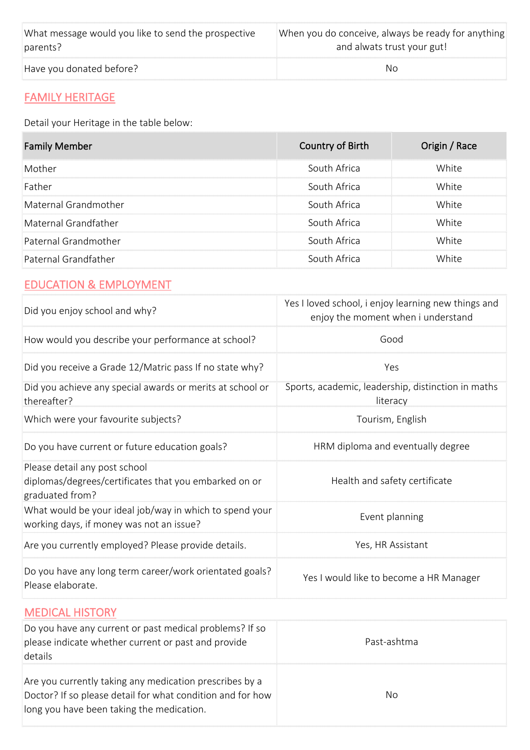| What message would you like to send the prospective | When you do conceive, always be ready for anything |
|-----------------------------------------------------|----------------------------------------------------|
| parents?                                            | and alwats trust your gut!                         |
| Have you donated before?                            | No.                                                |

### FAMILY HERITAGE

Detail your Heritage in the table below:

| <b>Family Member</b> | Country of Birth | Origin / Race |
|----------------------|------------------|---------------|
| Mother               | South Africa     | White         |
| Father               | South Africa     | White         |
| Maternal Grandmother | South Africa     | White         |
| Maternal Grandfather | South Africa     | White         |
| Paternal Grandmother | South Africa     | White         |
| Paternal Grandfather | South Africa     | White         |

#### EDUCATION & EMPLOYMENT

| Did you enjoy school and why?                                                                                  | Yes I loved school, i enjoy learning new things and<br>enjoy the moment when i understand |  |  |
|----------------------------------------------------------------------------------------------------------------|-------------------------------------------------------------------------------------------|--|--|
| How would you describe your performance at school?                                                             | Good                                                                                      |  |  |
| Did you receive a Grade 12/Matric pass If no state why?                                                        | Yes                                                                                       |  |  |
| Did you achieve any special awards or merits at school or<br>thereafter?                                       | Sports, academic, leadership, distinction in maths<br>literacy                            |  |  |
| Which were your favourite subjects?                                                                            | Tourism, English                                                                          |  |  |
| Do you have current or future education goals?                                                                 | HRM diploma and eventually degree                                                         |  |  |
| Please detail any post school<br>diplomas/degrees/certificates that you embarked on or<br>graduated from?      | Health and safety certificate                                                             |  |  |
| What would be your ideal job/way in which to spend your<br>working days, if money was not an issue?            | Event planning                                                                            |  |  |
| Are you currently employed? Please provide details.                                                            | Yes, HR Assistant                                                                         |  |  |
| Do you have any long term career/work orientated goals?<br>Please elaborate.                                   | Yes I would like to become a HR Manager                                                   |  |  |
| <b>MEDICAL HISTORY</b>                                                                                         |                                                                                           |  |  |
| Do you have any current or past medical problems? If so<br>please indicate whether current or past and provide | Past-ashtma                                                                               |  |  |

| details                                                                                                                                                            |     |
|--------------------------------------------------------------------------------------------------------------------------------------------------------------------|-----|
| Are you currently taking any medication prescribes by a<br>Doctor? If so please detail for what condition and for how<br>long you have been taking the medication. | No. |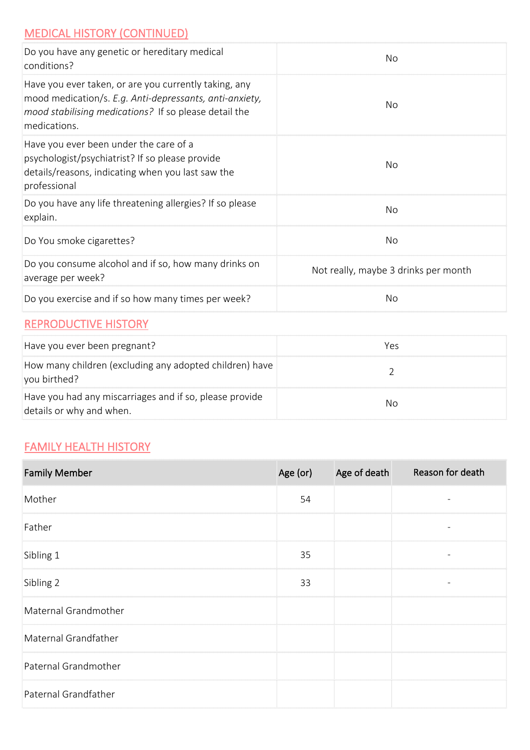### MEDICAL HISTORY (CONTINUED)

| Do you have any genetic or hereditary medical<br>conditions?                                                                                                                              | No                                   |
|-------------------------------------------------------------------------------------------------------------------------------------------------------------------------------------------|--------------------------------------|
| Have you ever taken, or are you currently taking, any<br>mood medication/s. E.g. Anti-depressants, anti-anxiety,<br>mood stabilising medications? If so please detail the<br>medications. | No                                   |
| Have you ever been under the care of a<br>psychologist/psychiatrist? If so please provide<br>details/reasons, indicating when you last saw the<br>professional                            | No                                   |
| Do you have any life threatening allergies? If so please<br>explain.                                                                                                                      | <b>No</b>                            |
| Do You smoke cigarettes?                                                                                                                                                                  | <b>No</b>                            |
| Do you consume alcohol and if so, how many drinks on<br>average per week?                                                                                                                 | Not really, maybe 3 drinks per month |
| Do you exercise and if so how many times per week?                                                                                                                                        | No                                   |
|                                                                                                                                                                                           |                                      |

#### REPRODUCTIVE HISTORY

| Have you ever been pregnant?                                                        | Yes |
|-------------------------------------------------------------------------------------|-----|
| How many children (excluding any adopted children) have<br>you birthed?             |     |
| Have you had any miscarriages and if so, please provide<br>details or why and when. | No  |

#### FAMILY HEALTH HISTORY

| <b>Family Member</b> | Age (or) | Age of death | Reason for death         |
|----------------------|----------|--------------|--------------------------|
| Mother               | 54       |              |                          |
| Father               |          |              | $\overline{\phantom{a}}$ |
| Sibling 1            | 35       |              | $\overline{\phantom{a}}$ |
| Sibling 2            | 33       |              | $\overline{\phantom{a}}$ |
| Maternal Grandmother |          |              |                          |
| Maternal Grandfather |          |              |                          |
| Paternal Grandmother |          |              |                          |
| Paternal Grandfather |          |              |                          |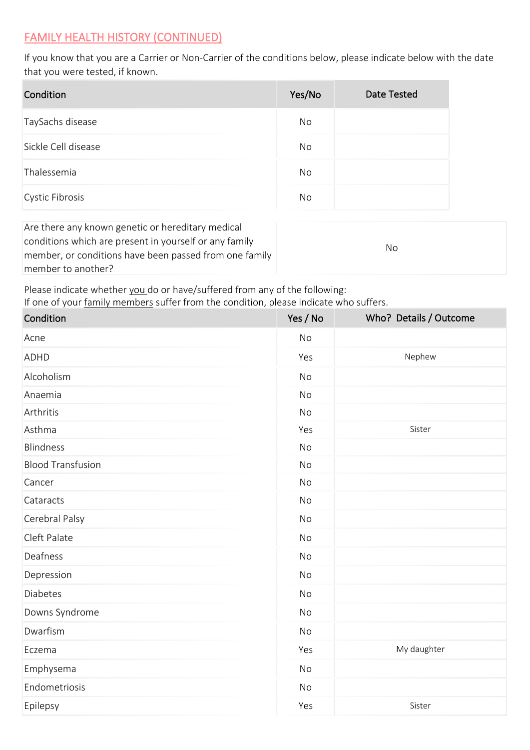#### FAMILY HEALTH HISTORY (CONTINUED)

If you know that you are a Carrier or Non-Carrier of the conditions below, please indicate below with the date that you were tested, if known.

| Condition           | Yes/No | <b>Date Tested</b> |
|---------------------|--------|--------------------|
| TaySachs disease    | No     |                    |
| Sickle Cell disease | Nο     |                    |
| Thalessemia         | No     |                    |
| Cystic Fibrosis     | Nο     |                    |

| Are there any known genetic or hereditary medical      |     |  |
|--------------------------------------------------------|-----|--|
| conditions which are present in yourself or any family | No. |  |
| member, or conditions have been passed from one family |     |  |
| member to another?                                     |     |  |

Please indicate whether you do or have/suffered from any of the following:

If one of your family members suffer from the condition, please indicate who suffers.

| Condition                | Yes / No  | Who? Details / Outcome |
|--------------------------|-----------|------------------------|
| Acne                     | <b>No</b> |                        |
| <b>ADHD</b>              | Yes       | Nephew                 |
| Alcoholism               | <b>No</b> |                        |
| Anaemia                  | <b>No</b> |                        |
| Arthritis                | <b>No</b> |                        |
| Asthma                   | Yes       | Sister                 |
| <b>Blindness</b>         | <b>No</b> |                        |
| <b>Blood Transfusion</b> | No        |                        |
| Cancer                   | <b>No</b> |                        |
| Cataracts                | No        |                        |
| Cerebral Palsy           | No        |                        |
| Cleft Palate             | <b>No</b> |                        |
| Deafness                 | <b>No</b> |                        |
| Depression               | <b>No</b> |                        |
| <b>Diabetes</b>          | <b>No</b> |                        |
| Downs Syndrome           | <b>No</b> |                        |
| Dwarfism                 | No        |                        |
| Eczema                   | Yes       | My daughter            |
| Emphysema                | <b>No</b> |                        |
| Endometriosis            | No        |                        |
| Epilepsy                 | Yes       | Sister                 |